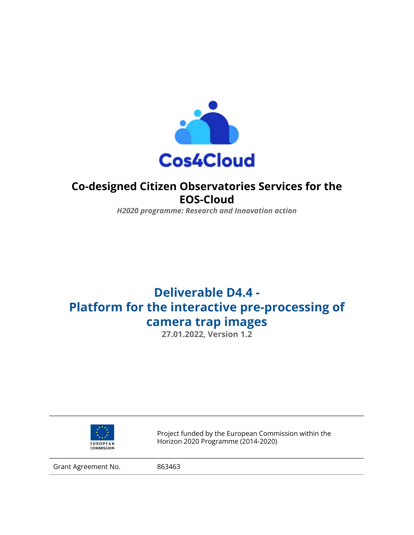

## **Co-designed Citizen Observatories Services for the EOS-Cloud**

*H2020 programme: Research and Innovation action*

# **Deliverable D4.4 - Platform for the interactive pre-processing of camera trap images**

**27.01.2022, Version 1.2**



Project funded by the European Commission within the Horizon 2020 Programme (2014-2020)

Grant Agreement No. 863463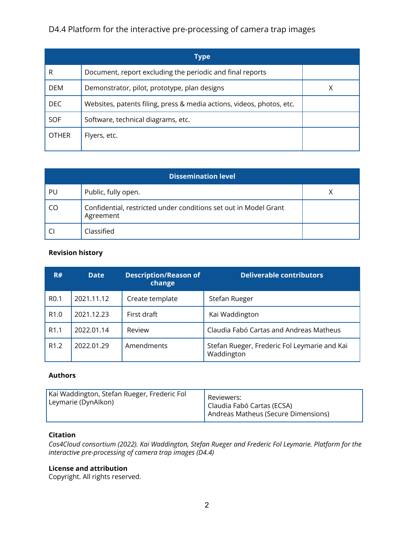|              | Type                                                                  |  |
|--------------|-----------------------------------------------------------------------|--|
| R            | Document, report excluding the periodic and final reports             |  |
| <b>DEM</b>   | Demonstrator, pilot, prototype, plan designs                          |  |
| <b>DEC</b>   | Websites, patents filing, press & media actions, videos, photos, etc. |  |
| <b>SOF</b>   | Software, technical diagrams, etc.                                    |  |
| <b>OTHER</b> | Flyers, etc.                                                          |  |

| PU | Public, fully open.                                                           |  |
|----|-------------------------------------------------------------------------------|--|
| CO | Confidential, restricted under conditions set out in Model Grant<br>Agreement |  |
|    | Classified                                                                    |  |

#### **Revision history**

| R#               | <b>Date</b> | <b>Description/Reason of</b><br>change | <b>Deliverable contributors</b>                            |
|------------------|-------------|----------------------------------------|------------------------------------------------------------|
| R <sub>0.1</sub> | 2021.11.12  | Create template                        | Stefan Rueger                                              |
| R <sub>1.0</sub> | 2021.12.23  | First draft                            | Kai Waddington                                             |
| R <sub>1.1</sub> | 2022.01.14  | Review                                 | Claudia Fabó Cartas and Andreas Matheus                    |
| R <sub>1.2</sub> | 2022.01.29  | Amendments                             | Stefan Rueger, Frederic Fol Leymarie and Kai<br>Waddington |

#### **Authors**

| Kai Waddington, Stefan Rueger, Frederic Fol | Reviewers:                          |
|---------------------------------------------|-------------------------------------|
| Leymarie (DynAlkon)                         | Claudia Fabó Cartas (ECSA)          |
|                                             | Andreas Matheus (Secure Dimensions) |

#### **Citation**

*Cos4Cloud consortium (2022). Kai Waddington, Stefan Rueger and Frederic Fol Leymarie. Platform for the interactive pre-processing of camera trap images (D4.4)*

#### **License and attribution**

Copyright. All rights reserved.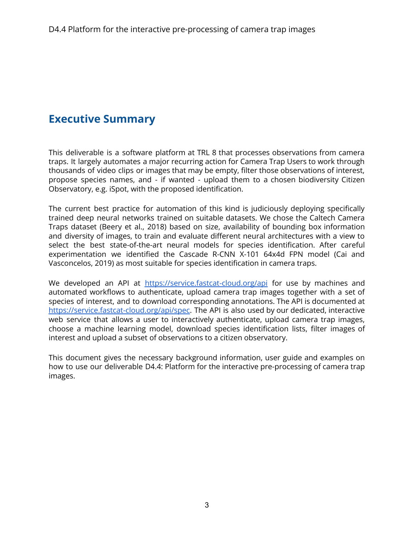## **Executive Summary**

This deliverable is a software platform at TRL 8 that processes observations from camera traps. It largely automates a major recurring action for Camera Trap Users to work through thousands of video clips or images that may be empty, filter those observations of interest, propose species names, and - if wanted - upload them to a chosen biodiversity Citizen Observatory, e.g. iSpot, with the proposed identification.

The current best practice for automation of this kind is judiciously deploying specifically trained deep neural networks trained on suitable datasets. We chose the Caltech Camera Traps dataset (Beery et al., 2018) based on size, availability of bounding box information and diversity of images, to train and evaluate different neural architectures with a view to select the best state-of-the-art neural models for species identification. After careful experimentation we identified the Cascade R-CNN X-101 64x4d FPN model (Cai and Vasconcelos, 2019) as most suitable for species identification in camera traps.

We developed an API at <https://service.fastcat-cloud.org/api> for use by machines and automated workflows to authenticate, upload camera trap images together with a set of species of interest, and to download corresponding annotations. The API is documented at [https://service.fastcat-cloud.org/api/spec.](https://service.fastcat-cloud.org/api/spec) The API is also used by our dedicated, interactive web service that allows a user to interactively authenticate, upload camera trap images, choose a machine learning model, download species identification lists, filter images of interest and upload a subset of observations to a citizen observatory.

This document gives the necessary background information, user guide and examples on how to use our deliverable D4.4: Platform for the interactive pre-processing of camera trap images.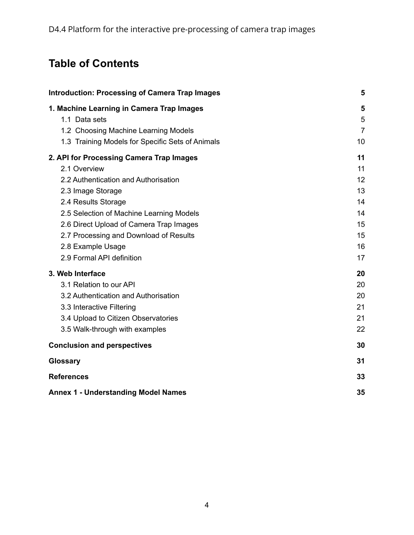# **Table of Contents**

| <b>Introduction: Processing of Camera Trap Images</b>                                                                                                                                                                                                                                                                           | 5                                                        |
|---------------------------------------------------------------------------------------------------------------------------------------------------------------------------------------------------------------------------------------------------------------------------------------------------------------------------------|----------------------------------------------------------|
| 1. Machine Learning in Camera Trap Images<br>1.1 Data sets                                                                                                                                                                                                                                                                      | 5<br>5                                                   |
| 1.2 Choosing Machine Learning Models<br>1.3 Training Models for Specific Sets of Animals                                                                                                                                                                                                                                        | $\overline{7}$<br>10                                     |
| 2. API for Processing Camera Trap Images<br>2.1 Overview<br>2.2 Authentication and Authorisation<br>2.3 Image Storage<br>2.4 Results Storage<br>2.5 Selection of Machine Learning Models<br>2.6 Direct Upload of Camera Trap Images<br>2.7 Processing and Download of Results<br>2.8 Example Usage<br>2.9 Formal API definition | 11<br>11<br>12<br>13<br>14<br>14<br>15<br>15<br>16<br>17 |
| 3. Web Interface<br>3.1 Relation to our API<br>3.2 Authentication and Authorisation<br>3.3 Interactive Filtering<br>3.4 Upload to Citizen Observatories<br>3.5 Walk-through with examples                                                                                                                                       | 20<br>20<br>20<br>21<br>21<br>22                         |
| <b>Conclusion and perspectives</b>                                                                                                                                                                                                                                                                                              | 30                                                       |
| <b>Glossary</b>                                                                                                                                                                                                                                                                                                                 | 31                                                       |
| <b>References</b>                                                                                                                                                                                                                                                                                                               | 33                                                       |
| <b>Annex 1 - Understanding Model Names</b>                                                                                                                                                                                                                                                                                      | 35                                                       |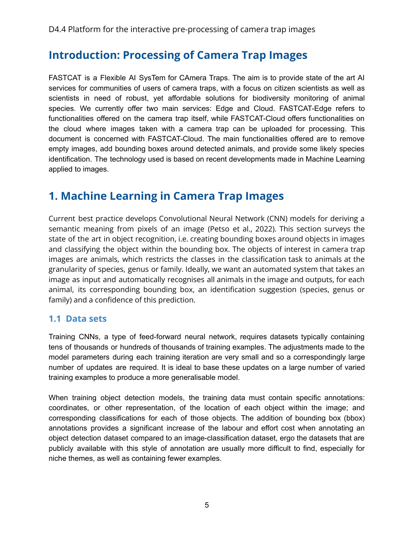## <span id="page-4-0"></span>**Introduction: Processing of Camera Trap Images**

FASTCAT is a Flexible AI SysTem for CAmera Traps. The aim is to provide state of the art AI services for communities of users of camera traps, with a focus on citizen scientists as well as scientists in need of robust, yet affordable solutions for biodiversity monitoring of animal species. We currently offer two main services: Edge and Cloud. FASTCAT-Edge refers to functionalities offered on the camera trap itself, while FASTCAT-Cloud offers functionalities on the cloud where images taken with a camera trap can be uploaded for processing. This document is concerned with FASTCAT-Cloud. The main functionalities offered are to remove empty images, add bounding boxes around detected animals, and provide some likely species identification. The technology used is based on recent developments made in Machine Learning applied to images.

## <span id="page-4-1"></span>**1. Machine Learning in Camera Trap Images**

Current best practice develops Convolutional Neural Network (CNN) models for deriving a semantic meaning from pixels of an image (Petso et al., 2022). This section surveys the state of the art in object recognition, i.e. creating bounding boxes around objects in images and classifying the object within the bounding box. The objects of interest in camera trap images are animals, which restricts the classes in the classification task to animals at the granularity of species, genus or family. Ideally, we want an automated system that takes an image as input and automatically recognises all animals in the image and outputs, for each animal, its corresponding bounding box, an identification suggestion (species, genus or family) and a confidence of this prediction.

## <span id="page-4-2"></span>**1.1 Data sets**

Training CNNs, a type of feed-forward neural network, requires datasets typically containing tens of thousands or hundreds of thousands of training examples. The adjustments made to the model parameters during each training iteration are very small and so a correspondingly large number of updates are required. It is ideal to base these updates on a large number of varied training examples to produce a more generalisable model.

When training object detection models, the training data must contain specific annotations: coordinates, or other representation, of the location of each object within the image; and corresponding classifications for each of those objects. The addition of bounding box (bbox) annotations provides a significant increase of the labour and effort cost when annotating an object detection dataset compared to an image-classification dataset, ergo the datasets that are publicly available with this style of annotation are usually more difficult to find, especially for niche themes, as well as containing fewer examples.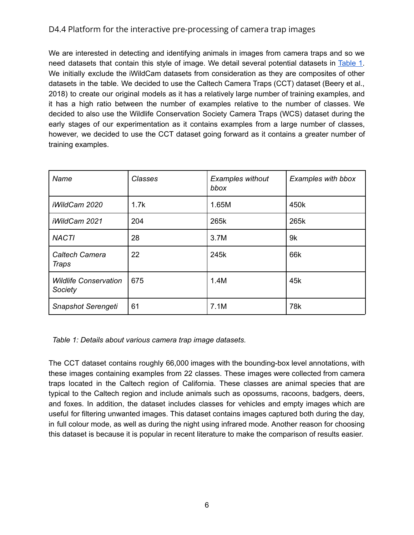We are interested in detecting and identifying animals in images from camera traps and so we need datasets that contain this style of image. We detail several potential datasets in [Table](#page-5-0) 1. We initially exclude the iWildCam datasets from consideration as they are composites of other datasets in the table. We decided to use the Caltech Camera Traps (CCT) dataset (Beery et al., 2018) to create our original models as it has a relatively large number of training examples, and it has a high ratio between the number of examples relative to the number of classes. We decided to also use the Wildlife Conservation Society Camera Traps (WCS) dataset during the early stages of our experimentation as it contains examples from a large number of classes, however, we decided to use the CCT dataset going forward as it contains a greater number of training examples.

| Name                                    | Classes | <b>Examples without</b><br>bbox | Examples with bbox |
|-----------------------------------------|---------|---------------------------------|--------------------|
| iWildCam 2020                           | 1.7k    | 1.65M                           | 450k               |
| iWildCam 2021                           | 204     | 265k                            | 265k               |
| <b>NACTI</b>                            | 28      | 3.7M                            | 9k                 |
| <b>Caltech Camera</b><br>Traps          | 22      | 245k                            | 66k                |
| <b>Wildlife Conservation</b><br>Society | 675     | 1.4M                            | 45k                |
| Snapshot Serengeti                      | 61      | 7.1M                            | 78k                |

<span id="page-5-0"></span>*Table 1: Details about various camera trap image datasets.*

The CCT dataset contains roughly 66,000 images with the bounding-box level annotations, with these images containing examples from 22 classes. These images were collected from camera traps located in the Caltech region of California. These classes are animal species that are typical to the Caltech region and include animals such as opossums, racoons, badgers, deers, and foxes. In addition, the dataset includes classes for vehicles and empty images which are useful for filtering unwanted images. This dataset contains images captured both during the day, in full colour mode, as well as during the night using infrared mode. Another reason for choosing this dataset is because it is popular in recent literature to make the comparison of results easier.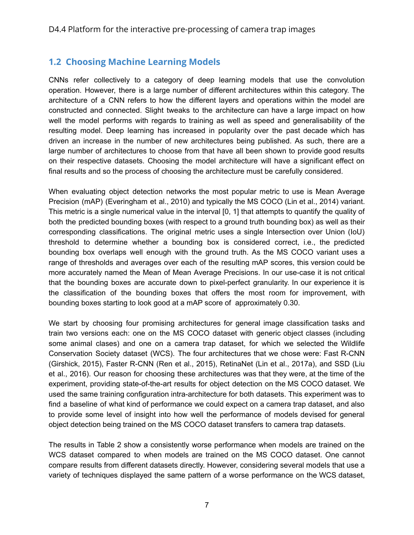## <span id="page-6-0"></span>**1.2 Choosing Machine Learning Models**

CNNs refer collectively to a category of deep learning models that use the convolution operation. However, there is a large number of different architectures within this category. The architecture of a CNN refers to how the different layers and operations within the model are constructed and connected. Slight tweaks to the architecture can have a large impact on how well the model performs with regards to training as well as speed and generalisability of the resulting model. Deep learning has increased in popularity over the past decade which has driven an increase in the number of new architectures being published. As such, there are a large number of architectures to choose from that have all been shown to provide good results on their respective datasets. Choosing the model architecture will have a significant effect on final results and so the process of choosing the architecture must be carefully considered.

When evaluating object detection networks the most popular metric to use is Mean Average Precision (mAP) (Everingham et al., 2010) and typically the MS COCO (Lin et al., 2014) variant. This metric is a single numerical value in the interval [0, 1] that attempts to quantify the quality of both the predicted bounding boxes (with respect to a ground truth bounding box) as well as their corresponding classifications. The original metric uses a single Intersection over Union (IoU) threshold to determine whether a bounding box is considered correct, i.e., the predicted bounding box overlaps well enough with the ground truth. As the MS COCO variant uses a range of thresholds and averages over each of the resulting mAP scores, this version could be more accurately named the Mean of Mean Average Precisions. In our use-case it is not critical that the bounding boxes are accurate down to pixel-perfect granularity. In our experience it is the classification of the bounding boxes that offers the most room for improvement, with bounding boxes starting to look good at a mAP score of approximately 0.30.

We start by choosing four promising architectures for general image classification tasks and train two versions each: one on the MS COCO dataset with generic object classes (including some animal clases) and one on a camera trap dataset, for which we selected the Wildlife Conservation Society dataset (WCS). The four architectures that we chose were: Fast R-CNN (Girshick, 2015), Faster R-CNN (Ren et al., 2015), RetinaNet (Lin et al., 2017a), and SSD (Liu et al., 2016). Our reason for choosing these architectures was that they were, at the time of the experiment, providing state-of-the-art results for object detection on the MS COCO dataset. We used the same training configuration intra-architecture for both datasets. This experiment was to find a baseline of what kind of performance we could expect on a camera trap dataset, and also to provide some level of insight into how well the performance of models devised for general object detection being trained on the MS COCO dataset transfers to camera trap datasets.

The results in Table 2 show a consistently worse performance when models are trained on the WCS dataset compared to when models are trained on the MS COCO dataset. One cannot compare results from different datasets directly. However, considering several models that use a variety of techniques displayed the same pattern of a worse performance on the WCS dataset,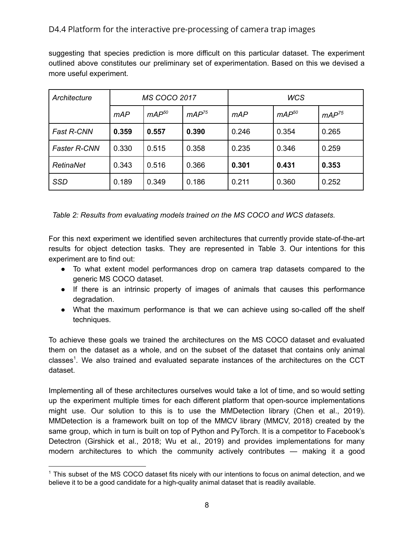suggesting that species prediction is more difficult on this particular dataset. The experiment outlined above constitutes our preliminary set of experimentation. Based on this we devised a more useful experiment.

| Architecture        |       | <b>MS COCO 2017</b> |            |       | <b>WCS</b> |            |
|---------------------|-------|---------------------|------------|-------|------------|------------|
|                     | mAP   | $mAP^{50}$          | $mAP^{75}$ | mAP   | $mAP^{50}$ | $mAP^{75}$ |
| <b>Fast R-CNN</b>   | 0.359 | 0.557               | 0.390      | 0.246 | 0.354      | 0.265      |
| <b>Faster R-CNN</b> | 0.330 | 0.515               | 0.358      | 0.235 | 0.346      | 0.259      |
| RetinaNet           | 0.343 | 0.516               | 0.366      | 0.301 | 0.431      | 0.353      |
| <b>SSD</b>          | 0.189 | 0.349               | 0.186      | 0.211 | 0.360      | 0.252      |

*Table 2: Results from evaluating models trained on the MS COCO and WCS datasets.*

For this next experiment we identified seven architectures that currently provide state-of-the-art results for object detection tasks. They are represented in Table 3. Our intentions for this experiment are to find out:

- To what extent model performances drop on camera trap datasets compared to the generic MS COCO dataset.
- If there is an intrinsic property of images of animals that causes this performance degradation.
- What the maximum performance is that we can achieve using so-called off the shelf techniques.

To achieve these goals we trained the architectures on the MS COCO dataset and evaluated them on the dataset as a whole, and on the subset of the dataset that contains only animal classes<sup>1</sup>. We also trained and evaluated separate instances of the architectures on the CCT dataset.

Implementing all of these architectures ourselves would take a lot of time, and so would setting up the experiment multiple times for each different platform that open-source implementations might use. Our solution to this is to use the MMDetection library (Chen et al., 2019). MMDetection is a framework built on top of the MMCV library (MMCV, 2018) created by the same group, which in turn is built on top of Python and PyTorch. It is a competitor to Facebook's Detectron (Girshick et al., 2018; Wu et al., 2019) and provides implementations for many modern architectures to which the community actively contributes — making it a good

<sup>1</sup> This subset of the MS COCO dataset fits nicely with our intentions to focus on animal detection, and we believe it to be a good candidate for a high-quality animal dataset that is readily available.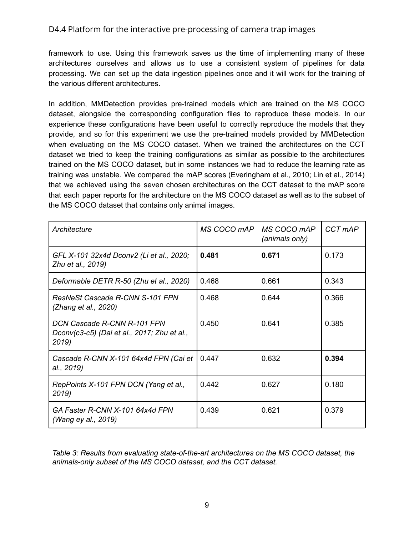framework to use. Using this framework saves us the time of implementing many of these architectures ourselves and allows us to use a consistent system of pipelines for data processing. We can set up the data ingestion pipelines once and it will work for the training of the various different architectures.

In addition, MMDetection provides pre-trained models which are trained on the MS COCO dataset, alongside the corresponding configuration files to reproduce these models. In our experience these configurations have been useful to correctly reproduce the models that they provide, and so for this experiment we use the pre-trained models provided by MMDetection when evaluating on the MS COCO dataset. When we trained the architectures on the CCT dataset we tried to keep the training configurations as similar as possible to the architectures trained on the MS COCO dataset, but in some instances we had to reduce the learning rate as training was unstable. We compared the mAP scores (Everingham et al., 2010; Lin et al., 2014) that we achieved using the seven chosen architectures on the CCT dataset to the mAP score that each paper reports for the architecture on the MS COCO dataset as well as to the subset of the MS COCO dataset that contains only animal images.

| Architecture                                                                        | MS COCO mAP | MS COCO mAP<br>(animals only) | CCT mAP |
|-------------------------------------------------------------------------------------|-------------|-------------------------------|---------|
| GFL X-101 32x4d Dconv2 (Li et al., 2020;<br>Zhu et al., 2019)                       | 0.481       | 0.671                         | 0.173   |
| Deformable DETR R-50 (Zhu et al., 2020)                                             | 0.468       | 0.661                         | 0.343   |
| <b>ResNeSt Cascade R-CNN S-101 FPN</b><br>(Zhang et al., 2020)                      | 0.468       | 0.644                         | 0.366   |
| DCN Cascade R-CNN R-101 FPN<br>Dconv(c3-c5) (Dai et al., 2017; Zhu et al.,<br>2019) | 0.450       | 0.641                         | 0.385   |
| Cascade R-CNN X-101 64x4d FPN (Cai et<br>al., 2019)                                 | 0.447       | 0.632                         | 0.394   |
| RepPoints X-101 FPN DCN (Yang et al.,<br>2019)                                      | 0.442       | 0.627                         | 0.180   |
| GA Faster R-CNN X-101 64x4d FPN<br>(Wang ey al., 2019)                              | 0.439       | 0.621                         | 0.379   |

<span id="page-8-0"></span>*Table 3: Results from evaluating state-of-the-art architectures on the MS COCO dataset, the animals-only subset of the MS COCO dataset, and the CCT dataset.*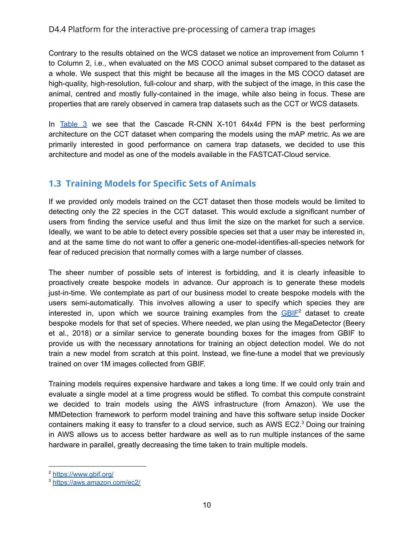Contrary to the results obtained on the WCS dataset we notice an improvement from Column 1 to Column 2, i.e., when evaluated on the MS COCO animal subset compared to the dataset as a whole. We suspect that this might be because all the images in the MS COCO dataset are high-quality, high-resolution, full-colour and sharp, with the subject of the image, in this case the animal, centred and mostly fully-contained in the image, while also being in focus. These are properties that are rarely observed in camera trap datasets such as the CCT or WCS datasets.

In [Table](#page-8-0) 3 we see that the Cascade R-CNN X-101 64x4d FPN is the best performing architecture on the CCT dataset when comparing the models using the mAP metric. As we are primarily interested in good performance on camera trap datasets, we decided to use this architecture and model as one of the models available in the FASTCAT-Cloud service.

## <span id="page-9-0"></span>**1.3 Training Models for Specific Sets of Animals**

If we provided only models trained on the CCT dataset then those models would be limited to detecting only the 22 species in the CCT dataset. This would exclude a significant number of users from finding the service useful and thus limit the size on the market for such a service. Ideally, we want to be able to detect every possible species set that a user may be interested in, and at the same time do not want to offer a generic one-model-identifies-all-species network for fear of reduced precision that normally comes with a large number of classes.

The sheer number of possible sets of interest is forbidding, and it is clearly infeasible to proactively create bespoke models in advance. Our approach is to generate these models just-in-time. We contemplate as part of our business model to create bespoke models with the users semi-automatically. This involves allowing a user to specify which species they are interested in, upon which we source training examples from the  $GBIF<sup>2</sup>$  $GBIF<sup>2</sup>$  dataset to create bespoke models for that set of species. Where needed, we plan using the MegaDetector (Beery et al., 2018) or a similar service to generate bounding boxes for the images from GBIF to provide us with the necessary annotations for training an object detection model. We do not train a new model from scratch at this point. Instead, we fine-tune a model that we previously trained on over 1M images collected from GBIF.

Training models requires expensive hardware and takes a long time. If we could only train and evaluate a single model at a time progress would be stifled. To combat this compute constraint we decided to train models using the AWS infrastructure (from Amazon). We use the MMDetection framework to perform model training and have this software setup inside Docker containers making it easy to transfer to a cloud service, such as AWS EC2. $3$  Doing our training in AWS allows us to access better hardware as well as to run multiple instances of the same hardware in parallel, greatly decreasing the time taken to train multiple models.

<sup>2</sup> <https://www.gbif.org/>

<sup>3</sup> <https://aws.amazon.com/ec2/>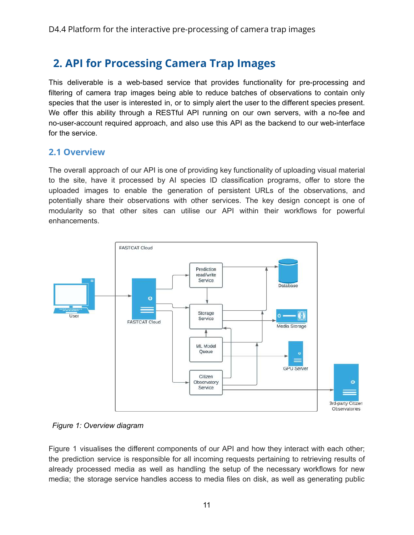## <span id="page-10-0"></span>**2. API for Processing Camera Trap Images**

This deliverable is a web-based service that provides functionality for pre-processing and filtering of camera trap images being able to reduce batches of observations to contain only species that the user is interested in, or to simply alert the user to the different species present. We offer this ability through a RESTful API running on our own servers, with a no-fee and no-user-account required approach, and also use this API as the backend to our web-interface for the service.

### <span id="page-10-1"></span>**2.1 Overview**

The overall approach of our API is one of providing key functionality of uploading visual material to the site, have it processed by AI species ID classification programs, offer to store the uploaded images to enable the generation of persistent URLs of the observations, and potentially share their observations with other services. The key design concept is one of modularity so that other sites can utilise our API within their workflows for powerful enhancements.



*Figure 1: Overview diagram*

Figure 1 visualises the different components of our API and how they interact with each other; the prediction service is responsible for all incoming requests pertaining to retrieving results of already processed media as well as handling the setup of the necessary workflows for new media; the storage service handles access to media files on disk, as well as generating public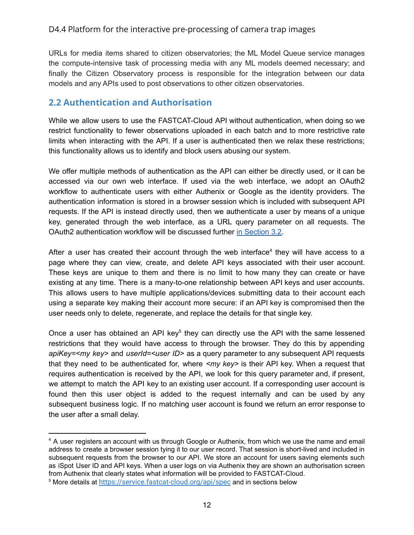URLs for media items shared to citizen observatories; the ML Model Queue service manages the compute-intensive task of processing media with any ML models deemed necessary; and finally the Citizen Observatory process is responsible for the integration between our data models and any APIs used to post observations to other citizen observatories.

## <span id="page-11-0"></span>**2.2 Authentication and Authorisation**

While we allow users to use the FASTCAT-Cloud API without authentication, when doing so we restrict functionality to fewer observations uploaded in each batch and to more restrictive rate limits when interacting with the API. If a user is authenticated then we relax these restrictions; this functionality allows us to identify and block users abusing our system.

We offer multiple methods of authentication as the API can either be directly used, or it can be accessed via our own web interface. If used via the web interface, we adopt an OAuth2 workflow to authenticate users with either Authenix or Google as the identity providers. The authentication information is stored in a browser session which is included with subsequent API requests. If the API is instead directly used, then we authenticate a user by means of a unique key, generated through the web interface, as a URL query parameter on all requests. The OAuth2 authentication workflow will be discussed further in [Section](#page-19-2) 3.2.

After a user has created their account through the web interface<sup>4</sup> they will have access to a page where they can view, create, and delete API keys associated with their user account. These keys are unique to them and there is no limit to how many they can create or have existing at any time. There is a many-to-one relationship between API keys and user accounts. This allows users to have multiple applications/devices submitting data to their account each using a separate key making their account more secure: if an API key is compromised then the user needs only to delete, regenerate, and replace the details for that single key.

Once a user has obtained an API key $5$  they can directly use the API with the same lessened restrictions that they would have access to through the browser. They do this by appending *apiKey=<my key>* and *userId=<user ID>* as a query parameter to any subsequent API requests that they need to be authenticated for, where *<my key>* is their API key. When a request that requires authentication is received by the API, we look for this query parameter and, if present, we attempt to match the API key to an existing user account. If a corresponding user account is found then this user object is added to the request internally and can be used by any subsequent business logic. If no matching user account is found we return an error response to the user after a small delay.

<sup>&</sup>lt;sup>4</sup> A user registers an account with us through Google or Authenix, from which we use the name and email address to create a browser session tying it to our user record. That session is short-lived and included in subsequent requests from the browser to our API. We store an account for users saving elements such as iSpot User ID and API keys. When a user logs on via Authenix they are shown an authorisation screen from Authenix that clearly states what information will be provided to FASTCAT-Cloud.

<sup>5</sup> More details at <https://service.fastcat-cloud.org/api/spec> and in sections below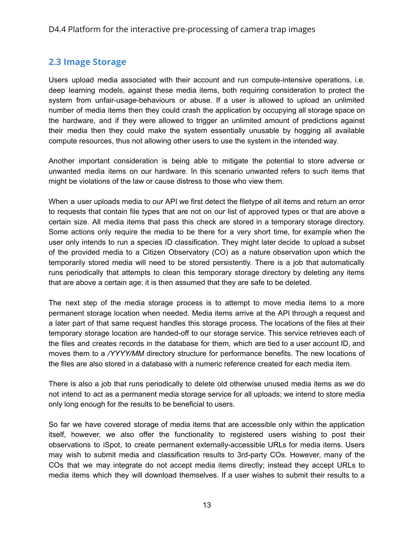## <span id="page-12-0"></span>**2.3 Image Storage**

Users upload media associated with their account and run compute-intensive operations, i.e. deep learning models, against these media items, both requiring consideration to protect the system from unfair-usage-behaviours or abuse. If a user is allowed to upload an unlimited number of media items then they could crash the application by occupying all storage space on the hardware, and if they were allowed to trigger an unlimited amount of predictions against their media then they could make the system essentially unusable by hogging all available compute resources, thus not allowing other users to use the system in the intended way.

Another important consideration is being able to mitigate the potential to store adverse or unwanted media items on our hardware. In this scenario unwanted refers to such items that might be violations of the law or cause distress to those who view them.

When a user uploads media to our API we first detect the filetype of all items and return an error to requests that contain file types that are not on our list of approved types or that are above a certain size. All media items that pass this check are stored in a temporary storage directory. Some actions only require the media to be there for a very short time, for example when the user only intends to run a species ID classification. They might later decide to upload a subset of the provided media to a Citizen Observatory (CO) as a nature observation upon which the temporarily stored media will need to be stored persistently. There is a job that automatically runs periodically that attempts to clean this temporary storage directory by deleting any items that are above a certain age; it is then assumed that they are safe to be deleted.

The next step of the media storage process is to attempt to move media items to a more permanent storage location when needed. Media items arrive at the API through a request and a later part of that same request handles this storage process. The locations of the files at their temporary storage location are handed-off to our storage service. This service retrieves each of the files and creates records in the database for them, which are tied to a user account ID, and moves them to a */YYYY/MM* directory structure for performance benefits. The new locations of the files are also stored in a database with a numeric reference created for each media item.

There is also a job that runs periodically to delete old otherwise unused media items as we do not intend to act as a permanent media storage service for all uploads; we intend to store media only long enough for the results to be beneficial to users.

So far we have covered storage of media items that are accessible only within the application itself, however, we also offer the functionality to registered users wishing to post their observations to iSpot, to create permanent externally-accessible URLs for media items. Users may wish to submit media and classification results to 3rd-party COs. However, many of the COs that we may integrate do not accept media items directly; instead they accept URLs to media items which they will download themselves. If a user wishes to submit their results to a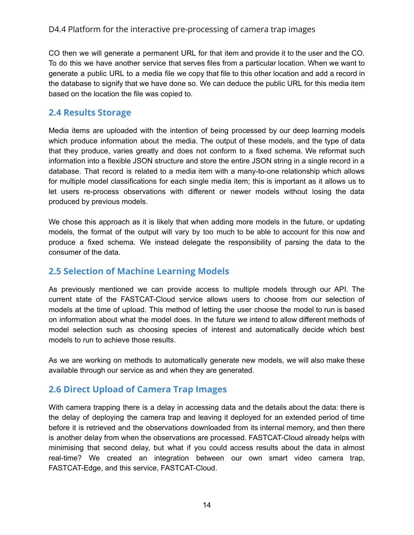CO then we will generate a permanent URL for that item and provide it to the user and the CO. To do this we have another service that serves files from a particular location. When we want to generate a public URL to a media file we copy that file to this other location and add a record in the database to signify that we have done so. We can deduce the public URL for this media item based on the location the file was copied to.

## <span id="page-13-0"></span>**2.4 Results Storage**

Media items are uploaded with the intention of being processed by our deep learning models which produce information about the media. The output of these models, and the type of data that they produce, varies greatly and does not conform to a fixed schema. We reformat such information into a flexible JSON structure and store the entire JSON string in a single record in a database. That record is related to a media item with a many-to-one relationship which allows for multiple model classifications for each single media item; this is important as it allows us to let users re-process observations with different or newer models without losing the data produced by previous models.

We chose this approach as it is likely that when adding more models in the future, or updating models, the format of the output will vary by too much to be able to account for this now and produce a fixed schema. We instead delegate the responsibility of parsing the data to the consumer of the data.

## <span id="page-13-1"></span>**2.5 Selection of Machine Learning Models**

As previously mentioned we can provide access to multiple models through our API. The current state of the FASTCAT-Cloud service allows users to choose from our selection of models at the time of upload. This method of letting the user choose the model to run is based on information about what the model does. In the future we intend to allow different methods of model selection such as choosing species of interest and automatically decide which best models to run to achieve those results.

As we are working on methods to automatically generate new models, we will also make these available through our service as and when they are generated.

## <span id="page-13-2"></span>**2.6 Direct Upload of Camera Trap Images**

With camera trapping there is a delay in accessing data and the details about the data: there is the delay of deploying the camera trap and leaving it deployed for an extended period of time before it is retrieved and the observations downloaded from its internal memory, and then there is another delay from when the observations are processed. FASTCAT-Cloud already helps with minimising that second delay, but what if you could access results about the data in almost real-time? We created an integration between our own smart video camera trap, FASTCAT-Edge, and this service, FASTCAT-Cloud.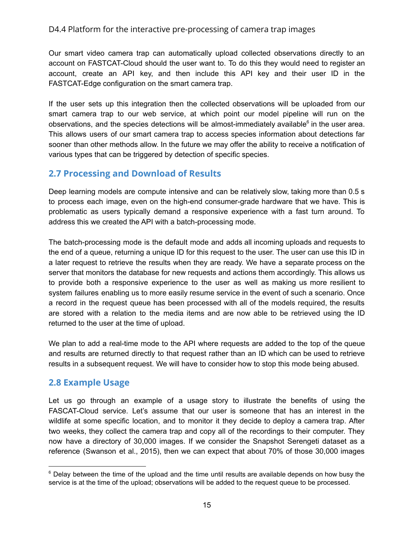Our smart video camera trap can automatically upload collected observations directly to an account on FASTCAT-Cloud should the user want to. To do this they would need to register an account, create an API key, and then include this API key and their user ID in the FASTCAT-Edge configuration on the smart camera trap.

If the user sets up this integration then the collected observations will be uploaded from our smart camera trap to our web service, at which point our model pipeline will run on the observations, and the species detections will be almost-immediately available $6$  in the user area. This allows users of our smart camera trap to access species information about detections far sooner than other methods allow. In the future we may offer the ability to receive a notification of various types that can be triggered by detection of specific species.

## <span id="page-14-0"></span>**2.7 Processing and Download of Results**

Deep learning models are compute intensive and can be relatively slow, taking more than 0.5 s to process each image, even on the high-end consumer-grade hardware that we have. This is problematic as users typically demand a responsive experience with a fast turn around. To address this we created the API with a batch-processing mode.

The batch-processing mode is the default mode and adds all incoming uploads and requests to the end of a queue, returning a unique ID for this request to the user. The user can use this ID in a later request to retrieve the results when they are ready. We have a separate process on the server that monitors the database for new requests and actions them accordingly. This allows us to provide both a responsive experience to the user as well as making us more resilient to system failures enabling us to more easily resume service in the event of such a scenario. Once a record in the request queue has been processed with all of the models required, the results are stored with a relation to the media items and are now able to be retrieved using the ID returned to the user at the time of upload.

We plan to add a real-time mode to the API where requests are added to the top of the queue and results are returned directly to that request rather than an ID which can be used to retrieve results in a subsequent request. We will have to consider how to stop this mode being abused.

### <span id="page-14-1"></span>**2.8 Example Usage**

Let us go through an example of a usage story to illustrate the benefits of using the FASCAT-Cloud service. Let's assume that our user is someone that has an interest in the wildlife at some specific location, and to monitor it they decide to deploy a camera trap. After two weeks, they collect the camera trap and copy all of the recordings to their computer. They now have a directory of 30,000 images. If we consider the Snapshot Serengeti dataset as a reference (Swanson et al., 2015), then we can expect that about 70% of those 30,000 images

 $6$  Delay between the time of the upload and the time until results are available depends on how busy the service is at the time of the upload; observations will be added to the request queue to be processed.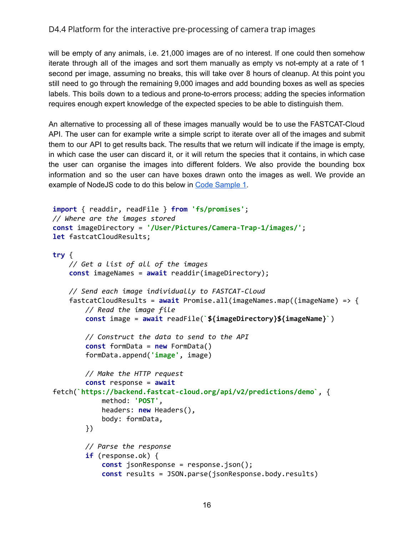will be empty of any animals, i.e. 21,000 images are of no interest. If one could then somehow iterate through all of the images and sort them manually as empty vs not-empty at a rate of 1 second per image, assuming no breaks, this will take over 8 hours of cleanup. At this point you still need to go through the remaining 9,000 images and add bounding boxes as well as species labels. This boils down to a tedious and prone-to-errors process; adding the species information requires enough expert knowledge of the expected species to be able to distinguish them.

An alternative to processing all of these images manually would be to use the FASTCAT-Cloud API. The user can for example write a simple script to iterate over all of the images and submit them to our API to get results back. The results that we return will indicate if the image is empty, in which case the user can discard it, or it will return the species that it contains, in which case the user can organise the images into different folders. We also provide the bounding box information and so the user can have boxes drawn onto the images as well. We provide an example of NodeJS code to do this below in Code [Sample](#page-16-1) 1.

```
import { readdir, readFile } from 'fs/promises';
// Where are the images stored
const imageDirectory = '/User/Pictures/Camera-Trap-1/images/';
let fastcatCloudResults;
try {
   // Get a list of all of the images
    const imageNames = await readdir(imageDirectory);
   // Send each image individually to FASTCAT-Cloud
    fastcatCloudResults = await Promise.all(imageNames.map((imageName) => {
        // Read the image file
        const image = await readFile(`${imageDirectory}${imageName}`)
       // Construct the data to send to the API
        const formData = new FormData()
        formData.append('image', image)
       // Make the HTTP request
        const response = await
fetch(`https://backend.fastcat-cloud.org/api/v2/predictions/demo`, {
            method: 'POST',
            headers: new Headers(),
            body: formData,
        })
       // Parse the response
        if (response.ok) {
            const jsonResponse = response.json();
            const results = JSON.parse(jsonResponse.body.results)
```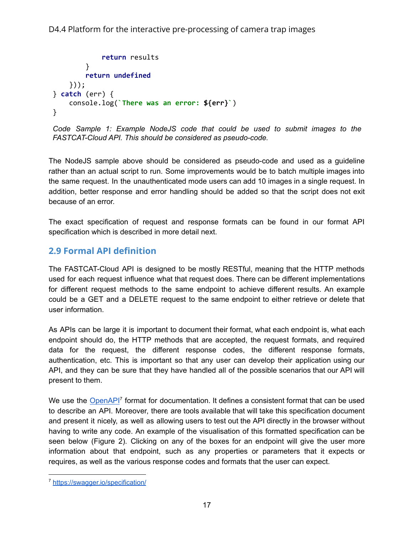```
return results
        }
        return undefined
    }));
} catch (err) {
    console.log(`There was an error: ${err}`)
}
```

```
Code Sample 1: Example NodeJS code that could be used to submit images to the
FASTCAT-Cloud API. This should be considered as pseudo-code.
```
The NodeJS sample above should be considered as pseudo-code and used as a guideline rather than an actual script to run. Some improvements would be to batch multiple images into the same request. In the unauthenticated mode users can add 10 images in a single request. In addition, better response and error handling should be added so that the script does not exit because of an error.

The exact specification of request and response formats can be found in our format API specification which is described in more detail next.

## <span id="page-16-0"></span>**2.9 Formal API definition**

The FASTCAT-Cloud API is designed to be mostly RESTful, meaning that the HTTP methods used for each request influence what that request does. There can be different implementations for different request methods to the same endpoint to achieve different results. An example could be a GET and a DELETE request to the same endpoint to either retrieve or delete that user information.

As APIs can be large it is important to document their format, what each endpoint is, what each endpoint should do, the HTTP methods that are accepted, the request formats, and required data for the request, the different response codes, the different response formats, authentication, etc. This is important so that any user can develop their application using our API, and they can be sure that they have handled all of the possible scenarios that our API will present to them.

We use the **[OpenAPI](https://swagger.io/specification/)<sup>7</sup>** format for documentation. It defines a consistent format that can be used to describe an API. Moreover, there are tools available that will take this specification document and present it nicely, as well as allowing users to test out the API directly in the browser without having to write any code. An example of the visualisation of this formatted specification can be seen below (Figure 2). Clicking on any of the boxes for an endpoint will give the user more information about that endpoint, such as any properties or parameters that it expects or requires, as well as the various response codes and formats that the user can expect.

<sup>7</sup> <https://swagger.io/specification/>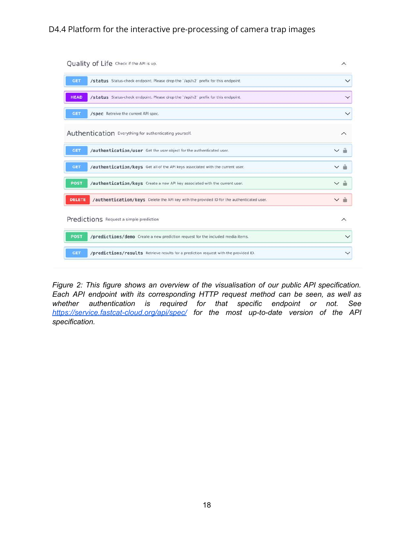| Quality of Life Check if the API is up.                                                                   | ∧                           |
|-----------------------------------------------------------------------------------------------------------|-----------------------------|
| <b>GET</b><br>/status Status-check endpoint. Please drop the '/api/v2' prefix for this endpoint.          | $\checkmark$                |
| <b>HEAD</b><br>/status Status-check endpoint. Please drop the '/api/v2' prefix for this endpoint.         | $\checkmark$                |
| <b>GET</b><br>/spec Retreive the current API spec.                                                        | $\checkmark$                |
| Authentication Everything for authenticating yourself.                                                    | ∧                           |
| <b>GET</b><br>/authentication/user Get the user object for the authenticated user.                        | $\triangle$<br>$\checkmark$ |
| /authentication/keys Get all of the API keys associated with the current user.<br><b>GET</b>              | v â                         |
| <b>POST</b><br>/authentication/keys Create a new API key associated with the current user.                | $\sim$ $\degree$            |
| <b>DELETE</b><br>/authentication/keys Delete the API key with the provided ID for the authenticated user. | ี ∼ ∩ิ                      |
| Predictions Request a simple prediction                                                                   | $\wedge$                    |
| <b>POST</b><br>/predictions/demo Create a new prediction request for the included media items.            | $\checkmark$                |
| /predictions/results Retrieve results for a prediction request with the provided ID.<br>GET               | $\checkmark$                |

*Figure 2: This figure shows an overview of the visualisation of our public API specification. Each API endpoint with its corresponding HTTP request method can be seen, as well as whether authentication is required for that specific endpoint or not. See <https://service.fastcat-cloud.org/api/spec/> for the most up-to-date version of the API specification.*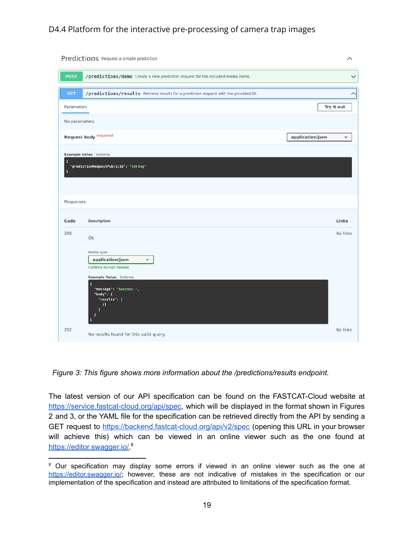|                         | Predictions Request a simple prediction                                              |                  | $\widehat{\phantom{0}}$ |
|-------------------------|--------------------------------------------------------------------------------------|------------------|-------------------------|
| <b>POST</b>             | /predictions/demo Create a new prediction request for the included media items.      |                  | $\checkmark$            |
| <b>GET</b>              | /predictions/results Retrieve results for a prediction request with the provided ID. |                  | $\wedge$                |
| Parameters              |                                                                                      |                  | Try it out              |
| No parameters           |                                                                                      |                  |                         |
|                         | <b>Request body required</b>                                                         | application/json | $\checkmark$            |
|                         | Example Value Schema                                                                 |                  |                         |
| $\overline{\mathbf{R}}$ | "predictionRequestPublicId": "string"                                                |                  |                         |
| Ŧ                       |                                                                                      |                  |                         |
|                         |                                                                                      |                  |                         |
|                         |                                                                                      |                  |                         |
| Responses               |                                                                                      |                  |                         |
| Code                    | <b>Description</b>                                                                   |                  | Links                   |
| 200                     | Ok                                                                                   |                  | No links                |
|                         |                                                                                      |                  |                         |
|                         | Media type<br>application/json<br>×                                                  |                  |                         |
|                         | Controls Accept header.                                                              |                  |                         |
|                         | Example Value Schema<br>K                                                            |                  |                         |
|                         | "message": "Success.",<br>"body": {<br>"results": [                                  |                  |                         |
|                         | $\Omega$<br>П                                                                        |                  |                         |
|                         | $\mathbf{1}$                                                                         |                  |                         |

*Figure 3: This figure shows more information about the /predictions/results endpoint.*

The latest version of our API specification can be found on the FASTCAT-Cloud website at <https://service.fastcat-cloud.org/api/spec>, which will be displayed in the format shown in Figures 2 and 3, or the YAML file for the specification can be retrieved directly from the API by sending a GET request to <https://backend.fastcat-cloud.org/api/v2/spec> (opening this URL in your browser will achieve this) which can be viewed in an online viewer such as the one found at [https://editor.swagger.io/.](https://editor.swagger.io/)<sup>8</sup>

<sup>&</sup>lt;sup>8</sup> Our specification may display some errors if viewed in an online viewer such as the one at [https://editor.swagger.io/;](https://editor.swagger.io/) however, these are not indicative of mistakes in the specification or our implementation of the specification and instead are attributed to limitations of the specification format.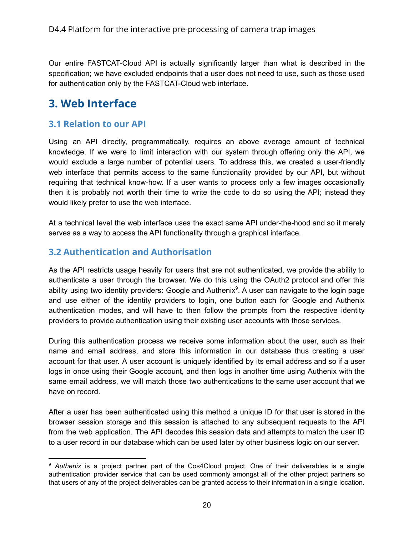Our entire FASTCAT-Cloud API is actually significantly larger than what is described in the specification; we have excluded endpoints that a user does not need to use, such as those used for authentication only by the FASTCAT-Cloud web interface.

## <span id="page-19-0"></span>**3. Web Interface**

## <span id="page-19-1"></span>**3.1 Relation to our API**

Using an API directly, programmatically, requires an above average amount of technical knowledge. If we were to limit interaction with our system through offering only the API, we would exclude a large number of potential users. To address this, we created a user-friendly web interface that permits access to the same functionality provided by our API, but without requiring that technical know-how. If a user wants to process only a few images occasionally then it is probably not worth their time to write the code to do so using the API; instead they would likely prefer to use the web interface.

At a technical level the web interface uses the exact same API under-the-hood and so it merely serves as a way to access the API functionality through a graphical interface.

## <span id="page-19-2"></span>**3.2 Authentication and Authorisation**

As the API restricts usage heavily for users that are not authenticated, we provide the ability to authenticate a user through the browser. We do this using the OAuth2 protocol and offer this ability using two identity providers: Google and Authenix<sup>9</sup>. A user can navigate to the login page and use either of the identity providers to login, one button each for Google and Authenix authentication modes, and will have to then follow the prompts from the respective identity providers to provide authentication using their existing user accounts with those services.

During this authentication process we receive some information about the user, such as their name and email address, and store this information in our database thus creating a user account for that user. A user account is uniquely identified by its email address and so if a user logs in once using their Google account, and then logs in another time using Authenix with the same email address, we will match those two authentications to the same user account that we have on record.

After a user has been authenticated using this method a unique ID for that user is stored in the browser session storage and this session is attached to any subsequent requests to the API from the web application. The API decodes this session data and attempts to match the user ID to a user record in our database which can be used later by other business logic on our server.

<sup>9</sup> *Authenix* is a project partner part of the Cos4Cloud project. One of their deliverables is a single authentication provider service that can be used commonly amongst all of the other project partners so that users of any of the project deliverables can be granted access to their information in a single location.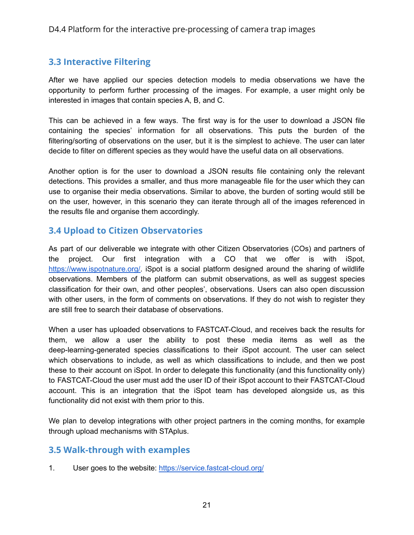## <span id="page-20-0"></span>**3.3 Interactive Filtering**

After we have applied our species detection models to media observations we have the opportunity to perform further processing of the images. For example, a user might only be interested in images that contain species A, B, and C.

This can be achieved in a few ways. The first way is for the user to download a JSON file containing the species' information for all observations. This puts the burden of the filtering/sorting of observations on the user, but it is the simplest to achieve. The user can later decide to filter on different species as they would have the useful data on all observations.

Another option is for the user to download a JSON results file containing only the relevant detections. This provides a smaller, and thus more manageable file for the user which they can use to organise their media observations. Similar to above, the burden of sorting would still be on the user, however, in this scenario they can iterate through all of the images referenced in the results file and organise them accordingly.

## <span id="page-20-1"></span>**3.4 Upload to Citizen Observatories**

As part of our deliverable we integrate with other Citizen Observatories (COs) and partners of the project. Our first integration with a CO that we offer is with iSpot, [https://www.ispotnature.org/.](https://www.ispotnature.org/) iSpot is a social platform designed around the sharing of wildlife observations. Members of the platform can submit observations, as well as suggest species classification for their own, and other peoples', observations. Users can also open discussion with other users, in the form of comments on observations. If they do not wish to register they are still free to search their database of observations.

When a user has uploaded observations to FASTCAT-Cloud, and receives back the results for them, we allow a user the ability to post these media items as well as the deep-learning-generated species classifications to their iSpot account. The user can select which observations to include, as well as which classifications to include, and then we post these to their account on iSpot. In order to delegate this functionality (and this functionality only) to FASTCAT-Cloud the user must add the user ID of their iSpot account to their FASTCAT-Cloud account. This is an integration that the iSpot team has developed alongside us, as this functionality did not exist with them prior to this.

We plan to develop integrations with other project partners in the coming months, for example through upload mechanisms with STAplus.

## <span id="page-20-2"></span>**3.5 Walk-through with examples**

1. User goes to the website: <https://service.fastcat-cloud.org/>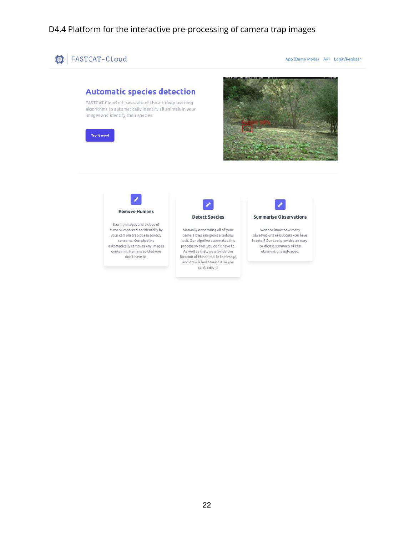

App (Demo Mode) API Login/Register





images and identify their species

Try it now!

Storing images and videos of humans captured accidentally by your camera trap poses privacy concerns. Our pipeline automatically removes any images containing humans so that you don't have to.



Manually annotating all of your camera trap images is a tedious task. Our pipeline automates this process so that you don't have to. As well as that, we provide the location of the animal in the image and draw a box around it so you can't miss it!



Want to know how many observations of bobcats you have in total? Our tool provides an easyto-digest summary of the observations uploaded.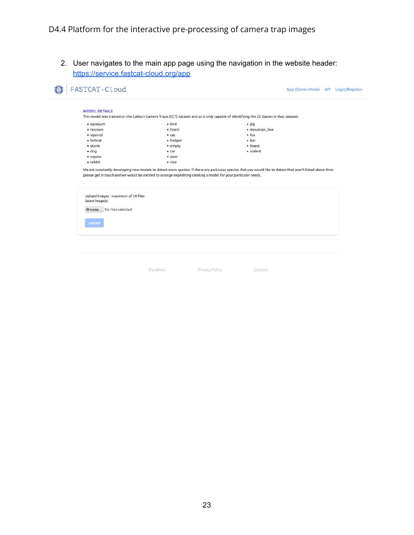2. User navigates to the main app page using the navigation in the website header: <https://service.fastcat-cloud.org/app>

| <b>MODEL DETAILS</b>                                   |                                                                                                                                |                                                                                                                                                             |  |
|--------------------------------------------------------|--------------------------------------------------------------------------------------------------------------------------------|-------------------------------------------------------------------------------------------------------------------------------------------------------------|--|
|                                                        |                                                                                                                                | This model was trained on the Caltech Camera Traps (CCT) dataset and so is only capable of identifying the 22 classes in that dataset:                      |  |
| · opossum                                              | · bird                                                                                                                         | $\n   - piq$                                                                                                                                                |  |
| · raccoon                                              | · lizard                                                                                                                       | · mountain lion                                                                                                                                             |  |
| · squirrel                                             | $\bullet$ cat                                                                                                                  | $-$ fox                                                                                                                                                     |  |
| · bobcat                                               | · badger                                                                                                                       | • <sub>bat</sub>                                                                                                                                            |  |
| $\cdot$ skunk                                          | • empty                                                                                                                        | · insect                                                                                                                                                    |  |
| $\cdot$ dog                                            | • <sub>car</sub>                                                                                                               | · rodent                                                                                                                                                    |  |
| · coyote                                               | · deer                                                                                                                         |                                                                                                                                                             |  |
| · rabbit                                               |                                                                                                                                |                                                                                                                                                             |  |
|                                                        | $\bullet$ COW<br>please get in touch and we would be excited to arrange expediting creating a model for your particular needs. | We are constantly developing new models to detect more species. If there are particular species that you would like to detect that aren't listed above then |  |
|                                                        |                                                                                                                                |                                                                                                                                                             |  |
| Upload images - maximum of 10 files<br>Select image(s) |                                                                                                                                |                                                                                                                                                             |  |
|                                                        |                                                                                                                                |                                                                                                                                                             |  |
| Browse No files selected.                              |                                                                                                                                |                                                                                                                                                             |  |
|                                                        |                                                                                                                                |                                                                                                                                                             |  |
| submit                                                 |                                                                                                                                |                                                                                                                                                             |  |
|                                                        |                                                                                                                                |                                                                                                                                                             |  |

Privacy Policy Contact

**DynAlkon**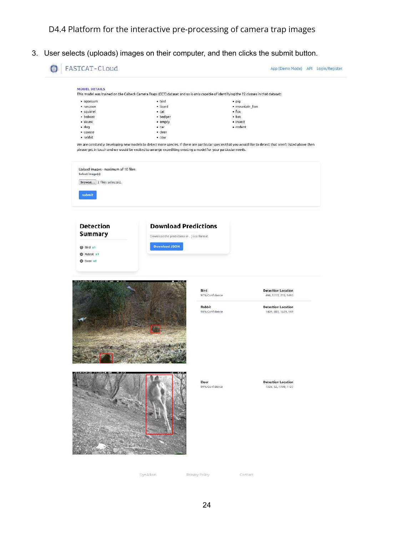3. User selects (uploads) images on their computer, and then clicks the submit button.

#### FASTCAT-Cloud App (Demo Mode) API Login/Register MODEL DETAILS This model was trained on the Caltech Camera Traps (CCT) dataset and so is only capable of identifying the 22 classes in that dataset:  $\bullet$  opossum · bird • pig · raccoon · lizard · mountain\_lion  $•$  fox · squirrel  $ext{A}$  $\bullet$  bat · bobcat · badger  $\cdot$  skunk  $\cdot$  empty  $\bullet$  insect  $\cdot$  dog  $\bullet$  rodent  $\bullet$  car · coyote · deer  $\bullet$  rabbit  $\cdot$  cow We are constantly developing new models to detect more species, if there are particular species that you would like to detect that aren't listed above then please get in touch and we would be excited to arrange expediting creating a model for your particular needs. Upload images - maximum of 10 files Soloct image(s) Browse... 2 files selected. submit **Detection Download Predictions** Summary Download the predictions in . J son format. Download JSON O Bird x1  $Q$  Rabbit  $x1$ O Deer x1 Bird **Detection Location** 97% Confidence 496, 1317, 715, 1493 Rabbit **Detection Location** 98% Confidence 1409, 807, 1579, 949 Deer **Detection Location** 99% Confidence 1326, 52, 1799, 1127

Contact

Privacy Policy

DynAlkon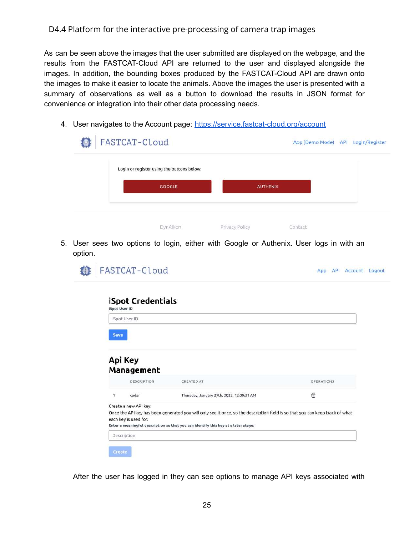As can be seen above the images that the user submitted are displayed on the webpage, and the results from the FASTCAT-Cloud API are returned to the user and displayed alongside the images. In addition, the bounding boxes produced by the FASTCAT-Cloud API are drawn onto the images to make it easier to locate the animals. Above the images the user is presented with a summary of observations as well as a button to download the results in JSON format for convenience or integration into their other data processing needs.

4. User navigates to the Account page: <https://service.fastcat-cloud.org/account>

| FASTCAT-Cloud                              |                 |         | App (Demo Mode) API Login/Register |
|--------------------------------------------|-----------------|---------|------------------------------------|
| Login or register using the buttons below: |                 |         |                                    |
| GOOGLE                                     | <b>AUTHENIX</b> |         |                                    |
| DynAlkon                                   | Privacy Policy  | Contact |                                    |

5. User sees two options to login, either with Google or Authenix. User logs in with an option.

| iSpot User ID | iSpot Credentials     |                                                                |                 |
|---------------|-----------------------|----------------------------------------------------------------|-----------------|
|               | iSpot User ID         |                                                                |                 |
| <b>Save</b>   |                       |                                                                |                 |
|               |                       |                                                                |                 |
|               | Api Key<br>Management |                                                                |                 |
| ĩ             | DESCRIPTION<br>cedar  | <b>CREATED AT</b><br>Thursday, January 27th, 2022, 12:00:31 AM | OPERATIONS<br>û |

After the user has logged in they can see options to manage API keys associated with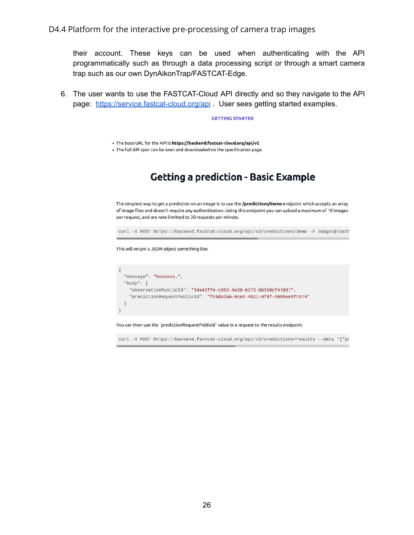their account. These keys can be used when authenticating with the API programmatically such as through a data processing script or through a smart camera trap such as our own DynAikonTrap/FASTCAT-Edge.

6. The user wants to use the FASTCAT-Cloud API directly and so they navigate to the API page: <https://service.fastcat-cloud.org/api> . User sees getting started examples.

**GETTING STARTED** 

. The base URL for the API is https://backend.fastcat-cloud.org/api/v2

. The full API spec can be seen and downloaded on the specification page.

## **Getting a prediction - Basic Example**

The simplest way to get a prediction on an image is to use the /predictions/demo endpoint which accepts an array of image files and doesn't require any authentication. Using this endpoint you can upload a maximum of 10 images per request, and are rate-limitted to 30 requests per minute.

curl -X POST https://backend.fastcat-cloud.org/api/v2/predictions/demo -F image=@/path

This will return a JSON object something like:

```
€
  "message": "Success.",
  "body": \{"observationPublicId": "14a41ffe-c952-4e38-b273-bb158cf47dd7",
    "predictionRequestPublicId": "fc9da2aa-9ce2-4521-9fdf-4909ae5fc574"
 \mathfrak{Z}\mathcal{P}
```
You can then use the 'predictionRequestPublicId' value in a request to the results endpoint:

curl -X POST https://backend.fastcat-cloud.org/api/v2/predictions/results --data '{"pr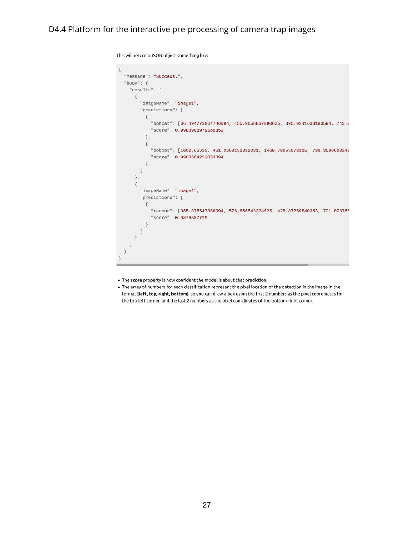```
This will return a JSON object something like:
 \{"message": "Success.",
   "body": {
     "results": [
       \{"imageName" : "image1","predictions": [
            \mathcal{L}"bobcat": [36.494773864746094, 455.9058837890625, 395.9241638183594, 743.6
               "score": 0.9988906979560852
            \} ,
            \{"bobcat": [1002.65625, 451.0569152832031, 1460.78955078125, 739.3590698242
               "score": 0.9988564252853394
            \, }
          J
       \} ,
        \{"imageName": "image2",
          "predictions": [
            \{"racoon": [365.876547386094, 576.656543324625, 425.87259840353, 721.098765
               "score": 0.9876587799
            \mathcal{F}\mathbf{I}\mathcal{F}\mathbf{1}\mathfrak{Z}\mathcal{F}
```
. The score property is how confident the model is about that prediction.

. The array of numbers for each classification represent the pixel location of the detection in the image in the format [left, top, right, bottom] so you can draw a box using the first 2 numbers as the pixel coordinates for the top-left corner, and the last 2 numbers as the pixel coordinates of the bottom-right corner.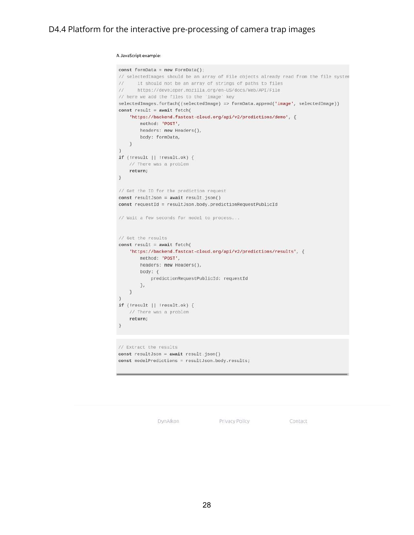#### A JavaScript example:

```
const formData = new FormData();
// selectedImages should be an array of File objects already read from the file system
%// it should not be an array of strings of paths to files<br>// https://developer.mozilla.org/en-US/docs/Web/API/File
// here we add the files to the 'image' key
selectedImages.forEach((selectedImage) => formData.append('image', selectedImage))
const result = await fetch(
   'https://backend.fastcat-cloud.org/api/v2/predictions/demo', {
        method: 'POST',
        headers: new Headers(),
        body: formData,
   \rightarrow\lambdaif (!result || !result.ok) {
   // There was a problem
    return;
\, }
// Get the ID for the prediction request
const resultJson = await result.json()
const requestId = resultJson.body.predictionRequestPublicId
// Wait a few seconds for model to process...
// Get the results
const result = await fetch(
    'https://backend.fastcat-cloud.org/api/v2/predictions/results', {
        method: 'POST',
        headers: new Headers(),
        body: {
            predictionRequestPublicId: requestId
        3,
    \rightarrowif (!result || !result.ok) {
    // There was a problem
    return;
\mathcal{F}// Extract the results
const resultJson = await result.json()
```
const modelPredictions = resultJson.body.results;

DynAlkon

Privacy Policy

Contact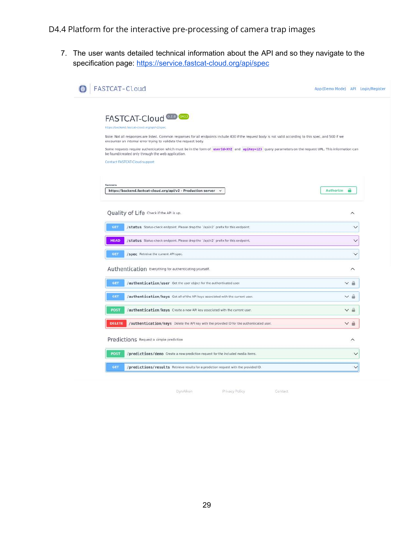7. The user wants detailed technical information about the API and so they navigate to the specification page: <https://service.fastcat-cloud.org/api/spec>

| FASTCAT-Cloud                                                                                                                                                                                                                 | App (Demo Mode) API Login/Register |                                    |  |
|-------------------------------------------------------------------------------------------------------------------------------------------------------------------------------------------------------------------------------|------------------------------------|------------------------------------|--|
|                                                                                                                                                                                                                               |                                    |                                    |  |
| FASTCAT-Cloud <sup>020</sup>                                                                                                                                                                                                  |                                    |                                    |  |
| https://backend.fastcat-cloud.org/api/v2/spec                                                                                                                                                                                 |                                    |                                    |  |
| Note: Not all responses are listed. Common responses for all endpoints include 400 if the request body is not valid according to this spec, and 500 if we<br>encounter an internal error trying to validate the request body. |                                    |                                    |  |
| Some requests require authentication which must be in the form of userId=XYZ and apiKey=123 query parameters on the request URL. This information can<br>be found/created only through the web application.                   |                                    |                                    |  |
| Contact FASTCAT-Cloud support                                                                                                                                                                                                 |                                    |                                    |  |
|                                                                                                                                                                                                                               |                                    |                                    |  |
| <b>Servers</b>                                                                                                                                                                                                                |                                    |                                    |  |
| https://backend.fastcat-cloud.org/api/v2 - Production server                                                                                                                                                                  | Authorize                          |                                    |  |
|                                                                                                                                                                                                                               |                                    |                                    |  |
| Quality of Life Check if the API is up.                                                                                                                                                                                       |                                    | ∧                                  |  |
| GET<br>/status Status-check endpoint. Please drop the '/api/v2' prefix for this endpoint.                                                                                                                                     |                                    |                                    |  |
| <b>HEAD</b><br>/status Status-check endpoint. Please drop the '/api/v2' prefix for this endpoint.                                                                                                                             |                                    | Y                                  |  |
| <b>GET</b><br>/spec Retreive the current API spec.                                                                                                                                                                            |                                    |                                    |  |
| Authentication Everything for authenticating yourself.                                                                                                                                                                        |                                    | ∧                                  |  |
| GET<br>/authentication/user Get the user object for the authenticated user.                                                                                                                                                   |                                    | $\vee$ $\mathring{\hspace{0.2cm}}$ |  |
| GET<br>/authentication/keys Get all of the API keys associated with the current user.                                                                                                                                         |                                    | мñ                                 |  |
| POST<br>/authentication/keys Create a new API key associated with the current user.                                                                                                                                           |                                    | $\backsim$ $\circ$                 |  |
| <b>DELETE</b><br>/authentication/keys Delete the API key with the provided ID for the authenticated user.                                                                                                                     |                                    | ∨ ≞                                |  |
| Predictions Request a simple prediction                                                                                                                                                                                       |                                    | ∧                                  |  |
| POST<br>/predictions/demo Create a new prediction request for the included media items.                                                                                                                                       |                                    | $\checkmark$                       |  |
| <b>GET</b><br>/predictions/results Retrieve results for a prediction request with the provided ID.                                                                                                                            |                                    | $\checkmark$                       |  |
|                                                                                                                                                                                                                               |                                    |                                    |  |

DynAlkon

Privacy Policy

Contact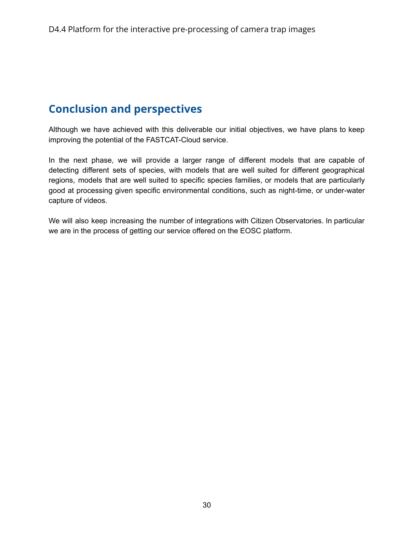## <span id="page-29-0"></span>**Conclusion and perspectives**

Although we have achieved with this deliverable our initial objectives, we have plans to keep improving the potential of the FASTCAT-Cloud service.

In the next phase, we will provide a larger range of different models that are capable of detecting different sets of species, with models that are well suited for different geographical regions, models that are well suited to specific species families, or models that are particularly good at processing given specific environmental conditions, such as night-time, or under-water capture of videos.

We will also keep increasing the number of integrations with Citizen Observatories. In particular we are in the process of getting our service offered on the EOSC platform.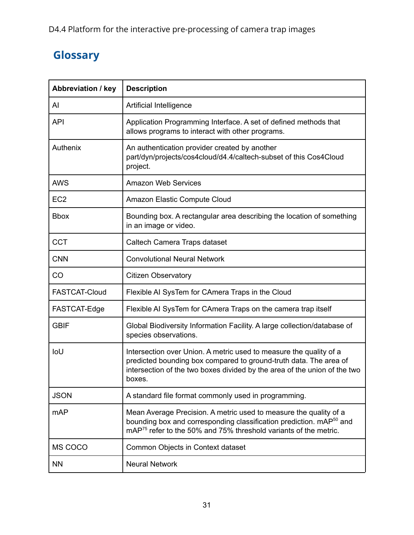# <span id="page-30-0"></span>**Glossary**

| <b>Abbreviation / key</b> | <b>Description</b>                                                                                                                                                                                                                   |  |  |
|---------------------------|--------------------------------------------------------------------------------------------------------------------------------------------------------------------------------------------------------------------------------------|--|--|
| AI                        | Artificial Intelligence                                                                                                                                                                                                              |  |  |
| <b>API</b>                | Application Programming Interface. A set of defined methods that<br>allows programs to interact with other programs.                                                                                                                 |  |  |
| Authenix                  | An authentication provider created by another<br>part/dyn/projects/cos4cloud/d4.4/caltech-subset of this Cos4Cloud<br>project.                                                                                                       |  |  |
| <b>AWS</b>                | <b>Amazon Web Services</b>                                                                                                                                                                                                           |  |  |
| EC <sub>2</sub>           | Amazon Elastic Compute Cloud                                                                                                                                                                                                         |  |  |
| <b>Bbox</b>               | Bounding box. A rectangular area describing the location of something<br>in an image or video.                                                                                                                                       |  |  |
| <b>CCT</b>                | Caltech Camera Traps dataset                                                                                                                                                                                                         |  |  |
| <b>CNN</b>                | <b>Convolutional Neural Network</b>                                                                                                                                                                                                  |  |  |
| <b>CO</b>                 | <b>Citizen Observatory</b>                                                                                                                                                                                                           |  |  |
| <b>FASTCAT-Cloud</b>      | Flexible AI SysTem for CAmera Traps in the Cloud                                                                                                                                                                                     |  |  |
| FASTCAT-Edge              | Flexible AI SysTem for CAmera Traps on the camera trap itself                                                                                                                                                                        |  |  |
| <b>GBIF</b>               | Global Biodiversity Information Facility. A large collection/database of<br>species observations.                                                                                                                                    |  |  |
| IoU                       | Intersection over Union. A metric used to measure the quality of a<br>predicted bounding box compared to ground-truth data. The area of<br>intersection of the two boxes divided by the area of the union of the two<br>boxes.       |  |  |
| <b>JSON</b>               | A standard file format commonly used in programming.                                                                                                                                                                                 |  |  |
| mAP                       | Mean Average Precision. A metric used to measure the quality of a<br>bounding box and corresponding classification prediction. mAP <sup>50</sup> and<br>mAP <sup>75</sup> refer to the 50% and 75% threshold variants of the metric. |  |  |
| MS COCO                   | Common Objects in Context dataset                                                                                                                                                                                                    |  |  |
| <b>NN</b>                 | <b>Neural Network</b>                                                                                                                                                                                                                |  |  |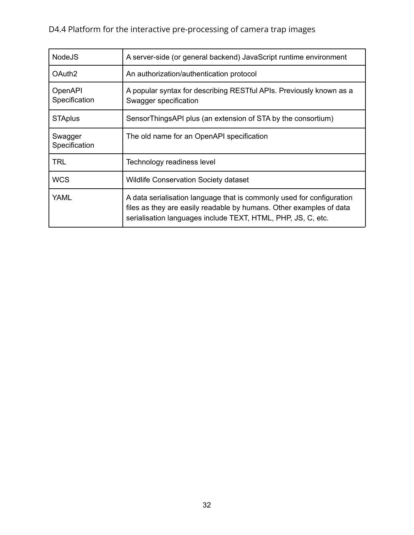| <b>NodeJS</b>            | A server-side (or general backend) JavaScript runtime environment                                                                                                                                            |  |
|--------------------------|--------------------------------------------------------------------------------------------------------------------------------------------------------------------------------------------------------------|--|
| OAuth <sub>2</sub>       | An authorization/authentication protocol                                                                                                                                                                     |  |
| OpenAPI<br>Specification | A popular syntax for describing RESTful APIs. Previously known as a<br>Swagger specification                                                                                                                 |  |
| <b>STAplus</b>           | SensorThingsAPI plus (an extension of STA by the consortium)                                                                                                                                                 |  |
| Swagger<br>Specification | The old name for an OpenAPI specification                                                                                                                                                                    |  |
| TRL                      | Technology readiness level                                                                                                                                                                                   |  |
| <b>WCS</b>               | <b>Wildlife Conservation Society dataset</b>                                                                                                                                                                 |  |
| <b>YAML</b>              | A data serialisation language that is commonly used for configuration<br>files as they are easily readable by humans. Other examples of data<br>serialisation languages include TEXT, HTML, PHP, JS, C, etc. |  |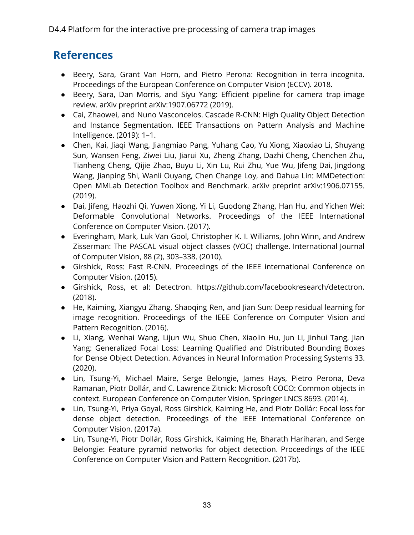## <span id="page-32-0"></span>**References**

- Beery, Sara, Grant Van Horn, and Pietro Perona: Recognition in terra incognita. Proceedings of the European Conference on Computer Vision (ECCV). 2018.
- Beery, Sara, Dan Morris, and Siyu Yang: Efficient pipeline for camera trap image review. arXiv preprint arXiv:1907.06772 (2019).
- Cai, Zhaowei, and Nuno Vasconcelos. Cascade R-CNN: High Quality Object Detection and Instance Segmentation. IEEE Transactions on Pattern Analysis and Machine Intelligence. (2019): 1–1.
- Chen, Kai, Jiaqi Wang, Jiangmiao Pang, Yuhang Cao, Yu Xiong, Xiaoxiao Li, Shuyang Sun, Wansen Feng, Ziwei Liu, Jiarui Xu, Zheng Zhang, Dazhi Cheng, Chenchen Zhu, Tianheng Cheng, Qijie Zhao, Buyu Li, Xin Lu, Rui Zhu, Yue Wu, Jifeng Dai, Jingdong Wang, Jianping Shi, Wanli Ouyang, Chen Change Loy, and Dahua Lin: MMDetection: Open MMLab Detection Toolbox and Benchmark. arXiv preprint arXiv:1906.07155. (2019).
- Dai, Jifeng, Haozhi Qi, Yuwen Xiong, Yi Li, Guodong Zhang, Han Hu, and Yichen Wei: Deformable Convolutional Networks. Proceedings of the IEEE International Conference on Computer Vision. (2017).
- Everingham, Mark, Luk Van Gool, Christopher K. I. Williams, John Winn, and Andrew Zisserman: The PASCAL visual object classes (VOC) challenge. International Journal of Computer Vision, 88 (2), 303–338. (2010).
- Girshick, Ross: Fast R-CNN. Proceedings of the IEEE international Conference on Computer Vision. (2015).
- Girshick, Ross, et al: Detectron. https://github.com/facebookresearch/detectron. (2018).
- He, Kaiming, Xiangyu Zhang, Shaoqing Ren, and Jian Sun: Deep residual learning for image recognition. Proceedings of the IEEE Conference on Computer Vision and Pattern Recognition. (2016).
- Li, Xiang, Wenhai Wang, Lijun Wu, Shuo Chen, Xiaolin Hu, Jun Li, Jinhui Tang, Jian Yang: Generalized Focal Loss: Learning Qualified and Distributed Bounding Boxes for Dense Object Detection. Advances in Neural Information Processing Systems 33. (2020).
- Lin, Tsung-Yi, Michael Maire, Serge Belongie, James Hays, Pietro Perona, Deva Ramanan, Piotr Dollár, and C. Lawrence Zitnick: Microsoft COCO: Common objects in context. European Conference on Computer Vision. Springer LNCS 8693. (2014).
- Lin, Tsung-Yi, Priya Goyal, Ross Girshick, Kaiming He, and Piotr Dollár: Focal loss for dense object detection. Proceedings of the IEEE International Conference on Computer Vision. (2017a).
- Lin, Tsung-Yi, Piotr Dollár, Ross Girshick, Kaiming He, Bharath Hariharan, and Serge Belongie: Feature pyramid networks for object detection. Proceedings of the IEEE Conference on Computer Vision and Pattern Recognition. (2017b).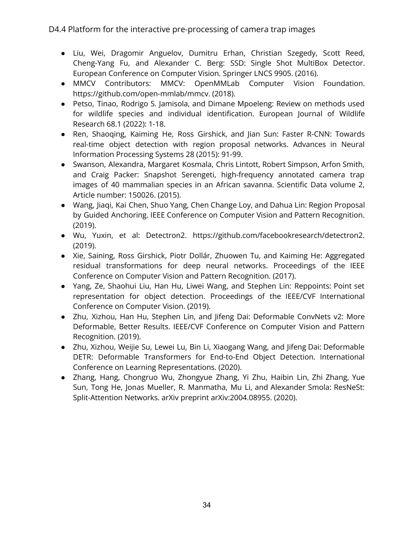- Liu, Wei, Dragomir Anguelov, Dumitru Erhan, Christian Szegedy, Scott Reed, Cheng-Yang Fu, and Alexander C. Berg: SSD: Single Shot MultiBox Detector. European Conference on Computer Vision. Springer LNCS 9905. (2016).
- MMCV Contributors: MMCV: OpenMMLab Computer Vision Foundation. https://github.com/open-mmlab/mmcv. (2018).
- Petso, Tinao, Rodrigo S. Jamisola, and Dimane Mpoeleng: Review on methods used for wildlife species and individual identification. European Journal of Wildlife Research 68.1 (2022): 1-18.
- Ren, Shaoqing, Kaiming He, Ross Girshick, and Jian Sun: Faster R-CNN: Towards real-time object detection with region proposal networks. Advances in Neural Information Processing Systems 28 (2015): 91-99.
- Swanson, Alexandra, Margaret Kosmala, Chris Lintott, Robert Simpson, Arfon Smith, and Craig Packer: Snapshot Serengeti, high-frequency annotated camera trap images of 40 mammalian species in an African savanna. Scientific Data volume 2, Article number: 150026. (2015).
- Wang, Jiaqi, Kai Chen, Shuo Yang, Chen Change Loy, and Dahua Lin: Region Proposal by Guided Anchoring. IEEE Conference on Computer Vision and Pattern Recognition. (2019).
- Wu, Yuxin, et al: Detectron2. https://github.com/facebookresearch/detectron2. (2019).
- Xie, Saining, Ross Girshick, Piotr Dollár, Zhuowen Tu, and Kaiming He: Aggregated residual transformations for deep neural networks. Proceedings of the IEEE Conference on Computer Vision and Pattern Recognition. (2017).
- Yang, Ze, Shaohui Liu, Han Hu, Liwei Wang, and Stephen Lin: Reppoints: Point set representation for object detection. Proceedings of the IEEE/CVF International Conference on Computer Vision. (2019).
- Zhu, Xizhou, Han Hu, Stephen Lin, and Jifeng Dai: Deformable ConvNets v2: More Deformable, Better Results. IEEE/CVF Conference on Computer Vision and Pattern Recognition. (2019).
- Zhu, Xizhou, Weijie Su, Lewei Lu, Bin Li, Xiaogang Wang, and Jifeng Dai: Deformable DETR: Deformable Transformers for End-to-End Object Detection. International Conference on Learning Representations. (2020).
- Zhang, Hang, Chongruo Wu, Zhongyue Zhang, Yi Zhu, Haibin Lin, Zhi Zhang, Yue Sun, Tong He, Jonas Mueller, R. Manmatha, Mu Li, and Alexander Smola: ResNeSt: Split-Attention Networks. arXiv preprint arXiv:2004.08955. (2020).